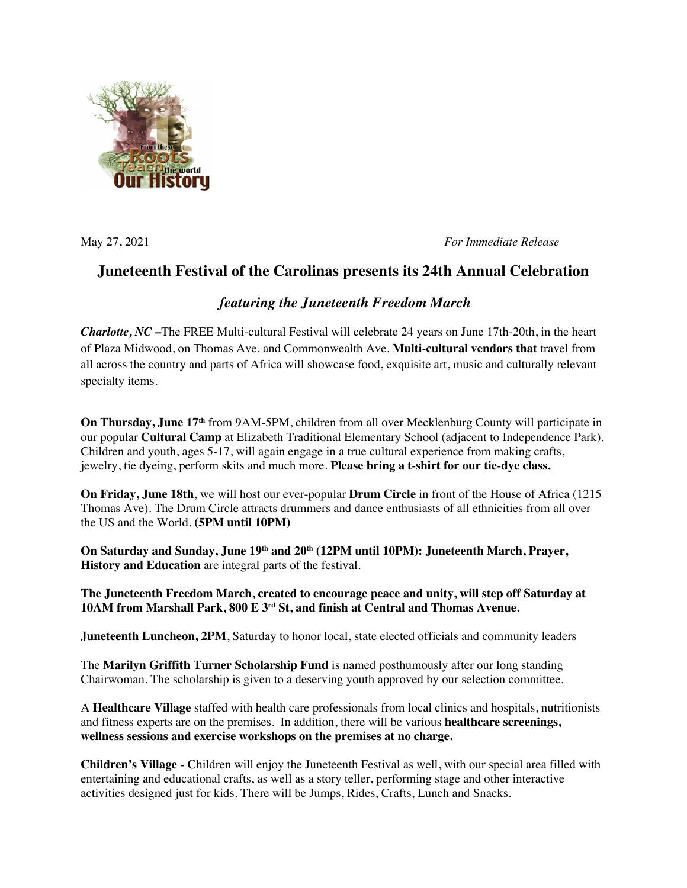

May 27, 2021 *For Immediate Release*

## **Juneteenth Festival of the Carolinas presents its 24th Annual Celebration**

## *featuring the Juneteenth Freedom March*

*Charlotte, NC* –The FREE Multi-cultural Festival will celebrate 24 years on June 17th-20th, in the heart of Plaza Midwood, on Thomas Ave. and Commonwealth Ave. **Multi-cultural vendors that** travel from all across the country and parts of Africa will showcase food, exquisite art, music and culturally relevant specialty items.

**On Thursday, June 17th** from 9AM-5PM, children from all over Mecklenburg County will participate in our popular **Cultural Camp** at Elizabeth Traditional Elementary School (adjacent to Independence Park). Children and youth, ages 5-17, will again engage in a true cultural experience from making crafts, jewelry, tie dyeing, perform skits and much more. **Please bring a t-shirt for our tie-dye class.**

**On Friday, June 18th**, we will host our ever-popular **Drum Circle** in front of the House of Africa (1215 Thomas Ave). The Drum Circle attracts drummers and dance enthusiasts of all ethnicities from all over the US and the World. **(5PM until 10PM)**

**On Saturday and Sunday, June 19th and 20th (12PM until 10PM): Juneteenth March, Prayer, History and Education** are integral parts of the festival.

**The Juneteenth Freedom March, created to encourage peace and unity, will step off Saturday at 10AM from Marshall Park, 800 E 3rd St, and finish at Central and Thomas Avenue.**

**Juneteenth Luncheon, 2PM**, Saturday to honor local, state elected officials and community leaders

The **Marilyn Griffith Turner Scholarship Fund** is named posthumously after our long standing Chairwoman. The scholarship is given to a deserving youth approved by our selection committee.

A **Healthcare Village** staffed with health care professionals from local clinics and hospitals, nutritionists and fitness experts are on the premises. In addition, there will be various **healthcare screenings, wellness sessions and exercise workshops on the premises at no charge.**

**Children's Village - C**hildren will enjoy the Juneteenth Festival as well, with our special area filled with entertaining and educational crafts, as well as a story teller, performing stage and other interactive activities designed just for kids. There will be Jumps, Rides, Crafts, Lunch and Snacks.